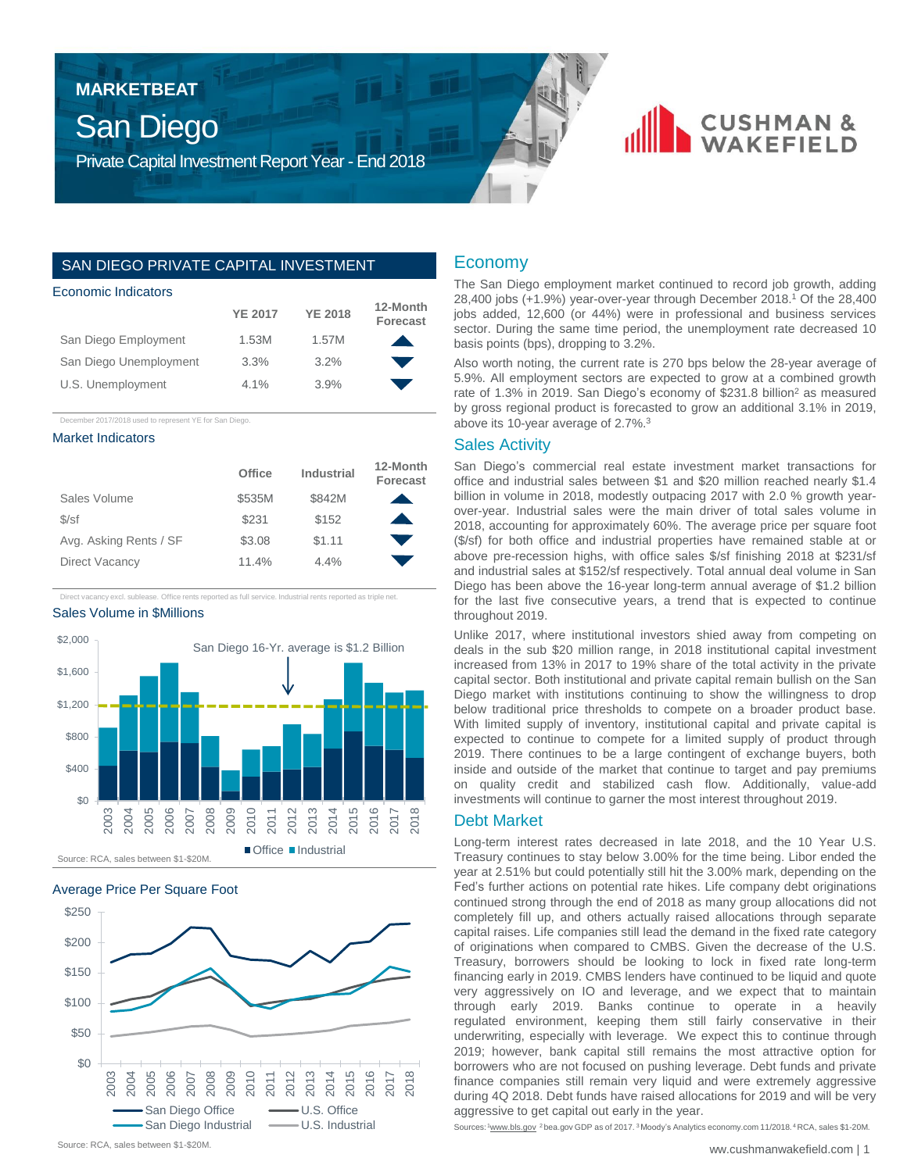# **MARKETBEAT**

# San Diego

Private Capital Investment Report Year - End 2018

## SAN DIEGO PRIVATE CAPITAL INVESTMENT

#### Economic Indicators

|                        | <b>YE 2017</b> | <b>YE 2018</b> | 12-Month<br><b>Forecast</b> |
|------------------------|----------------|----------------|-----------------------------|
| San Diego Employment   | 1.53M          | 1.57M          | $\blacktriangle$            |
| San Diego Unemployment | 3.3%           | 3.2%           | e de                        |
| U.S. Unemployment      | $4.1\%$        | 3.9%           |                             |

December 2017/2018 used to represent YE for San Diego.

#### Market Indicators

|                        | Office | Industrial | 12-Month<br><b>Forecast</b> |
|------------------------|--------|------------|-----------------------------|
| Sales Volume           | \$535M | \$842M     |                             |
| $S\sqrt{st}$           | \$231  | \$152      |                             |
| Avg. Asking Rents / SF | \$3.08 | \$1.11     |                             |
| Direct Vacancy         | 11.4%  | 4.4%       |                             |

Direct vacancy excl. sublease. Office rents reported as full service. Industrial rents reported as triple net.

#### Sales Volume in \$Millions







#### Economy

The San Diego employment market continued to record job growth, adding 28,400 jobs (+1.9%) year-over-year through December 2018. <sup>1</sup> Of the 28,400 jobs added, 12,600 (or 44%) were in professional and business services sector. During the same time period, the unemployment rate decreased 10 basis points (bps), dropping to 3.2%.

**CUSHMAN &** 

Also worth noting, the current rate is 270 bps below the 28-year average of 5.9%. All employment sectors are expected to grow at a combined growth rate of 1.3% in 2019. San Diego's economy of \$231.8 billion<sup>2</sup> as measured by gross regional product is forecasted to grow an additional 3.1% in 2019, above its 10-year average of 2.7%. 3

#### Sales Activity

San Diego's commercial real estate investment market transactions for office and industrial sales between \$1 and \$20 million reached nearly \$1.4 billion in volume in 2018, modestly outpacing 2017 with 2.0 % growth yearover-year. Industrial sales were the main driver of total sales volume in 2018, accounting for approximately 60%. The average price per square foot (\$/sf) for both office and industrial properties have remained stable at or above pre-recession highs, with office sales \$/sf finishing 2018 at \$231/sf and industrial sales at \$152/sf respectively. Total annual deal volume in San Diego has been above the 16-year long-term annual average of \$1.2 billion for the last five consecutive years, a trend that is expected to continue throughout 2019.

Unlike 2017, where institutional investors shied away from competing on deals in the sub \$20 million range, in 2018 institutional capital investment increased from 13% in 2017 to 19% share of the total activity in the private capital sector. Both institutional and private capital remain bullish on the San Diego market with institutions continuing to show the willingness to drop below traditional price thresholds to compete on a broader product base. With limited supply of inventory, institutional capital and private capital is expected to continue to compete for a limited supply of product through 2019. There continues to be a large contingent of exchange buyers, both inside and outside of the market that continue to target and pay premiums on quality credit and stabilized cash flow. Additionally, value-add investments will continue to garner the most interest throughout 2019.

# Debt Market

Long-term interest rates decreased in late 2018, and the 10 Year U.S. Treasury continues to stay below 3.00% for the time being. Libor ended the year at 2.51% but could potentially still hit the 3.00% mark, depending on the Fed's further actions on potential rate hikes. Life company debt originations continued strong through the end of 2018 as many group allocations did not completely fill up, and others actually raised allocations through separate capital raises. Life companies still lead the demand in the fixed rate category of originations when compared to CMBS. Given the decrease of the U.S. Treasury, borrowers should be looking to lock in fixed rate long-term financing early in 2019. CMBS lenders have continued to be liquid and quote very aggressively on IO and leverage, and we expect that to maintain through early 2019. Banks continue to operate in a heavily regulated environment, keeping them still fairly conservative in their underwriting, especially with leverage. We expect this to continue through 2019; however, bank capital still remains the most attractive option for borrowers who are not focused on pushing leverage. Debt funds and private finance companies still remain very liquid and were extremely aggressive during 4Q 2018. Debt funds have raised allocations for 2019 and will be very aggressive to get capital out early in the year.

Sources: 1www.bls.gov <sup>2</sup> bea.gov GDP as of 2017. <sup>3</sup> Moody's Analytics economy.com 11/2018. <sup>4</sup> RCA, sales \$1-20M.

Source: RCA, sales between \$1-\$20M.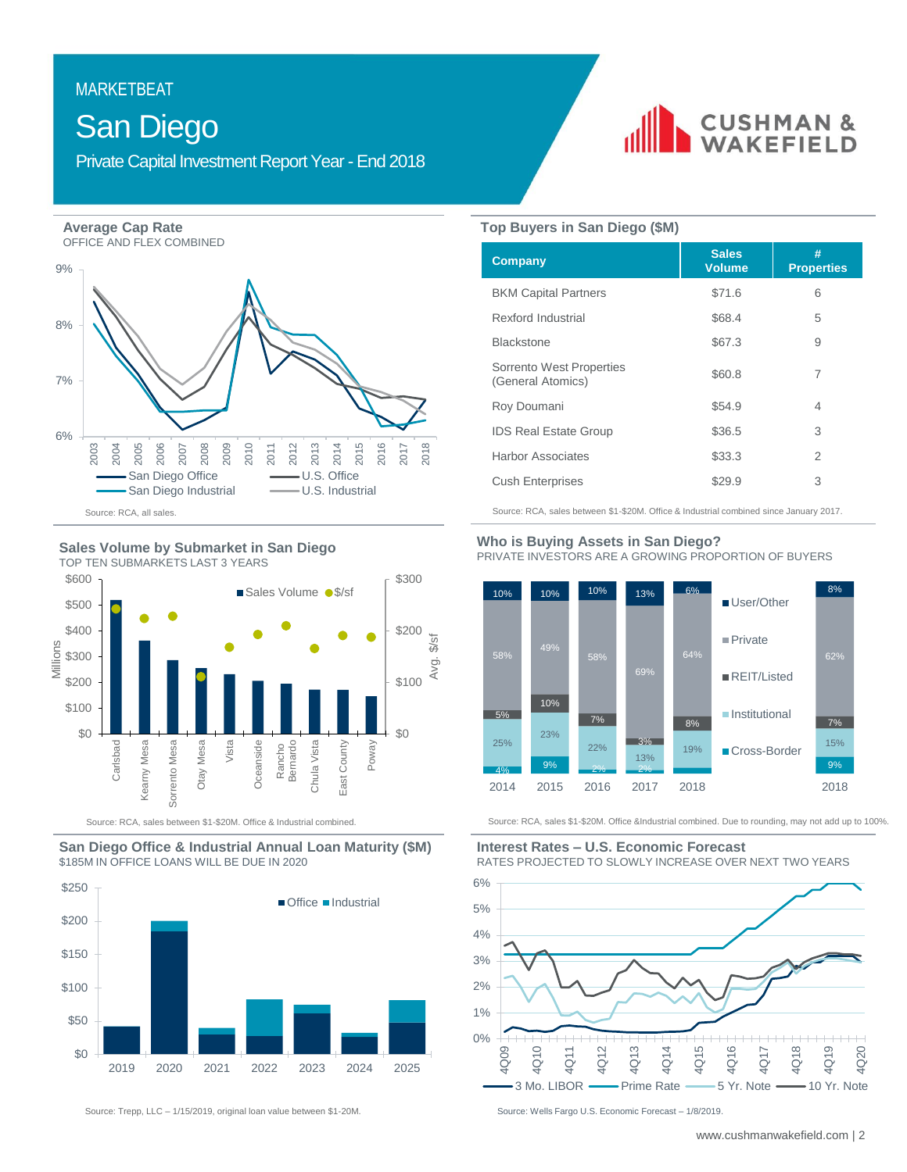# **MARKETBEAT** MARKETBEAT

# San Diego

Private Capital Investment Report Year - End 2018

**Average Cap Rate**

OFFICE AND FLEX COMBINED







Source: RCA, sales between \$1-\$20M. Office & Industrial combined.





Source: Trepp, LLC - 1/15/2019, original loan value between \$1-20M. Source: Wells Fargo U.S. Economic Forecast - 1/8/2019.



#### **Top Buyers in San Diego (\$M)**

| <b>Company</b>                                | <b>Sales</b><br><b>Volume</b> | #<br><b>Properties</b> |
|-----------------------------------------------|-------------------------------|------------------------|
| <b>BKM Capital Partners</b>                   | \$71.6                        | 6                      |
| Rexford Industrial                            | \$68.4                        | 5                      |
| <b>Blackstone</b>                             | \$67.3                        | 9                      |
| Sorrento West Properties<br>(General Atomics) | \$60.8                        | 7                      |
| Roy Doumani                                   | \$54.9                        | 4                      |
| <b>IDS Real Estate Group</b>                  | \$36.5                        | 3                      |
| <b>Harbor Associates</b>                      | \$33.3                        | 2                      |
| <b>Cush Enterprises</b>                       | \$29.9                        | 3                      |

Source: RCA, sales between \$1-\$20M. Office & Industrial combined since January 2017.

#### **Who is Buying Assets in San Diego?**  PRIVATE INVESTORS ARE A GROWING PROPORTION OF BUYERS



Source: RCA, sales \$1-\$20M. Office &Industrial combined. Due to rounding, may not add up to 100%.

#### **Interest Rates – U.S. Economic Forecast**  RATES PROJECTED TO SLOWLY INCREASE OVER NEXT TWO YEARS

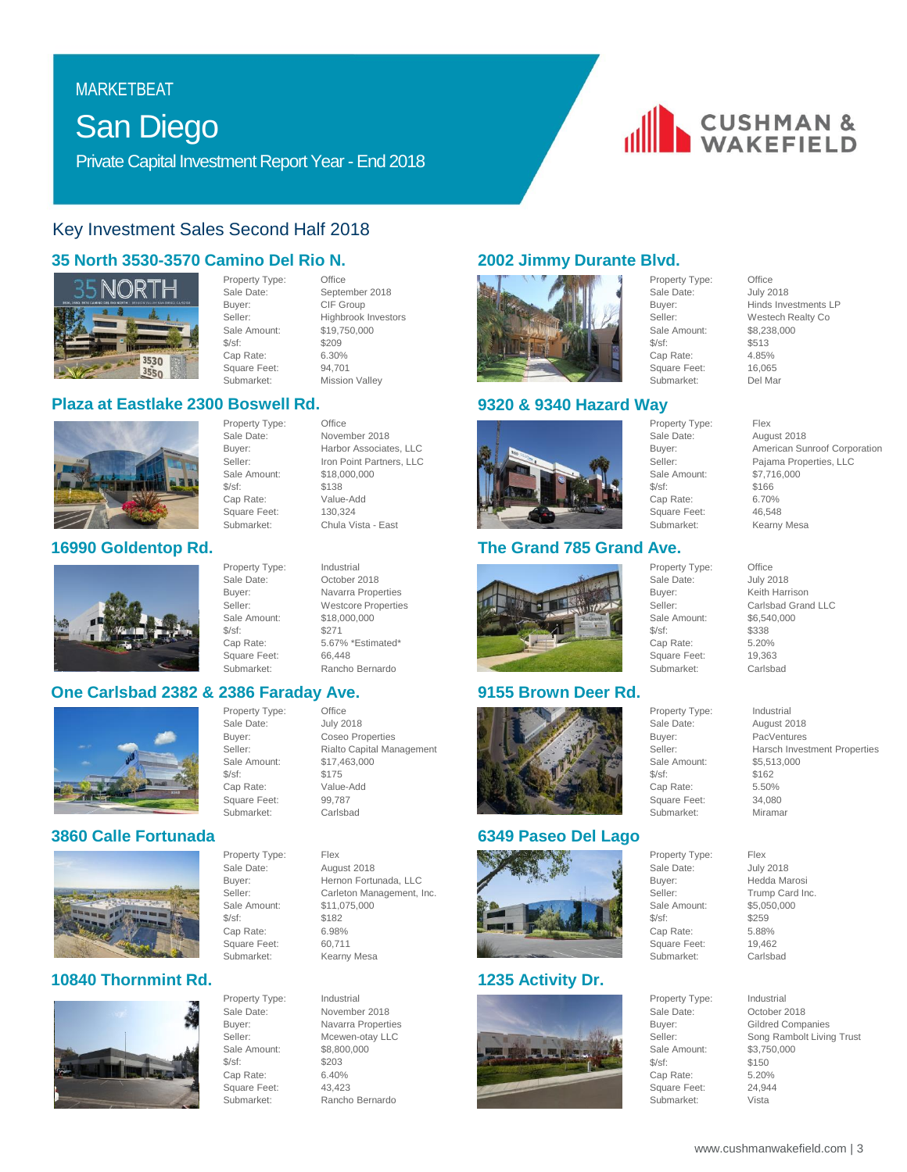# **MARKETBEAT** MARKETBEAT

# San Diego

Private Capital Investment Report Year - End 2018

# Key Investment Sales Second Half 2018

# **35 North 3530-3570 Camino Del Rio N.**



Property Type: Office Sale Date: September 2018 Buyer: CIF Group<br>Seller: Highbrook Sale Amount: \$19,750,000 \$/sf: \$209 Cap Rate: 6.30%<br>Square Feet: 94,701 Square Feet: Submarket: Mission Valley

Sale Amount:

Square Feet:<br>Submarket:

Property Type: Office Sale Date: November 2018 Buyer: Harbor Associates, LLC<br>Seller: Iron Point Partners, LLC

\$/sf: \$138 Cap Rate: Value-Add<br>Square Feet: 130,324

Property Type: Industrial

## **Plaza at Eastlake 2300 Boswell Rd.**



# **16990 Goldentop Rd.**



Sale Date: October 2018 Buyer: Navarra Properties Seller: Westcore Properties<br>Sale Amount: \$18,000,000 Sale Amount: \$/sf: \$271 Cap Rate: 5.67% \*Estimated\* Square Feet: 66,448 Submarket: Rancho Bernardo

Sale Date:

Submarket:

# **One Carlsbad 2382 & 2386 Faraday Ave.**



# **3860 Calle Fortunada**



# **10840 Thornmint Rd.**



Property Type: Industrial Sale Amount: \$/sf: \$203 Cap Rate: 6.40% Square Feet: 43,423

Square Feet:

Property Type: Office<br>
Sale Date: July 2018 Buyer: Coseo Properties Seller: Rialto Capital Management Sale Amount: \$17,463,000<br>\$/sf: \$175 \$/sf: \$175 Value-Add Square Feet: 99,787<br>Submarket: Carlshad

Highbrook Investors

Iron Point Partners, LLC<br>\$18,000,000

Chula Vista - East

Property Type: Flex Sale Date: August 2018 Buyer: Hernon Fortunada, LLC Seller: Carleton Management, Inc. Sale Amount: \$11,075,000 \$/sf: \$182<br>Cap Rate: \$6.98% Cap Rate: 6.98%<br>Square Feet: 60.711 Submarket: Kearny Mesa

Sale Date: November 2018<br>Buyer: Navarra Propert Navarra Properties Seller: Mcewen-otay LLC<br>Sale Amount: \$8,800,000 Submarket: Rancho Bernardo

# **2002 Jimmy Durante Blvd.**



### **9320 & 9340 Hazard Way**



# **The Grand 785 Grand Ave.**



# **9155 Brown Deer Rd.**



# **6349 Paseo Del Lago**



# **1235 Activity Dr.**



\$/sf: \$513 Cap Rate: 4.85%<br>Square Feet: 16,065 Square Feet: 16,065<br>Submarket: Del Mar Submarket:

Property Type: Flex Sale Date: August 2018 Sale Amount:  $$/sf:$   $$166$ Cap Rate: 6.70% Square Feet: 46,548<br>Submarket: Kearnv

Sale Amount:

Submarket:





# Buyer: Hinds Investments LP<br>Seller: Westech Realty Co Westech Realty Co.

**CUSHMAN &**<br>WAKEFIELD

Buyer: American Sunroof Corporation<br>
Seller: Paiama Properties II C Pajama Properties, LLC<br>\$7,716,000 Kearny Mesa

Property Type: Office Sale Date: **July 2018** Buyer: Keith Harrison Seller: Carlsbad Grand LLC<br>Sale Amount: \$6,540,000 \$/sf: \$338 Cap Rate: 5.20% Square Feet: 19,363 Submarket: Carlsbad

Property Type: Industrial<br>Sale Date: August 20 Buyer: PacVentures Seller: Harsch Investment Properties Sale Amount: \$5,513,000<br>\$/sf: \$162 Cap Rate: 5.50% Square Feet: 34,080<br>Submarket: Miramar

August 2018

\$162

Gildred Companies Seller: Song Rambolt Living Trust